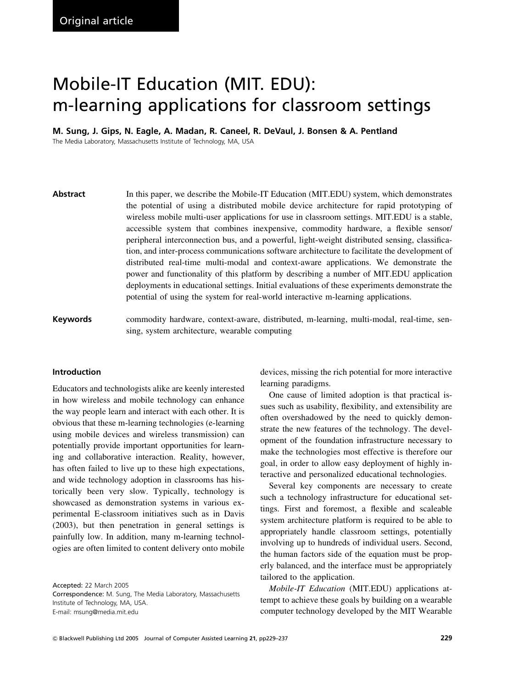# Mobile-IT Education (MIT. EDU): m-learning applications for classroom settings

M. Sung, J. Gips, N. Eagle, A. Madan, R. Caneel, R. DeVaul, J. Bonsen & A. Pentland

The Media Laboratory, Massachusetts Institute of Technology, MA, USA

Abstract In this paper, we describe the Mobile-IT Education (MIT.EDU) system, which demonstrates the potential of using a distributed mobile device architecture for rapid prototyping of wireless mobile multi-user applications for use in classroom settings. MIT.EDU is a stable, accessible system that combines inexpensive, commodity hardware, a flexible sensor/ peripheral interconnection bus, and a powerful, light-weight distributed sensing, classification, and inter-process communications software architecture to facilitate the development of distributed real-time multi-modal and context-aware applications. We demonstrate the power and functionality of this platform by describing a number of MIT.EDU application deployments in educational settings. Initial evaluations of these experiments demonstrate the potential of using the system for real-world interactive m-learning applications.

Keywords commodity hardware, context-aware, distributed, m-learning, multi-modal, real-time, sensing, system architecture, wearable computing

# Introduction

Educators and technologists alike are keenly interested in how wireless and mobile technology can enhance the way people learn and interact with each other. It is obvious that these m-learning technologies (e-learning using mobile devices and wireless transmission) can potentially provide important opportunities for learning and collaborative interaction. Reality, however, has often failed to live up to these high expectations, and wide technology adoption in classrooms has historically been very slow. Typically, technology is showcased as demonstration systems in various experimental E-classroom initiatives such as in Davis (2003), but then penetration in general settings is painfully low. In addition, many m-learning technologies are often limited to content delivery onto mobile

Accepted: 22 March 2005

Correspondence: M. Sung, The Media Laboratory, Massachusetts Institute of Technology, MA, USA. E-mail: msung@media.mit.edu

devices, missing the rich potential for more interactive learning paradigms.

One cause of limited adoption is that practical issues such as usability, flexibility, and extensibility are often overshadowed by the need to quickly demonstrate the new features of the technology. The development of the foundation infrastructure necessary to make the technologies most effective is therefore our goal, in order to allow easy deployment of highly interactive and personalized educational technologies.

Several key components are necessary to create such a technology infrastructure for educational settings. First and foremost, a flexible and scaleable system architecture platform is required to be able to appropriately handle classroom settings, potentially involving up to hundreds of individual users. Second, the human factors side of the equation must be properly balanced, and the interface must be appropriately tailored to the application.

Mobile-IT Education (MIT.EDU) applications attempt to achieve these goals by building on a wearable computer technology developed by the MIT Wearable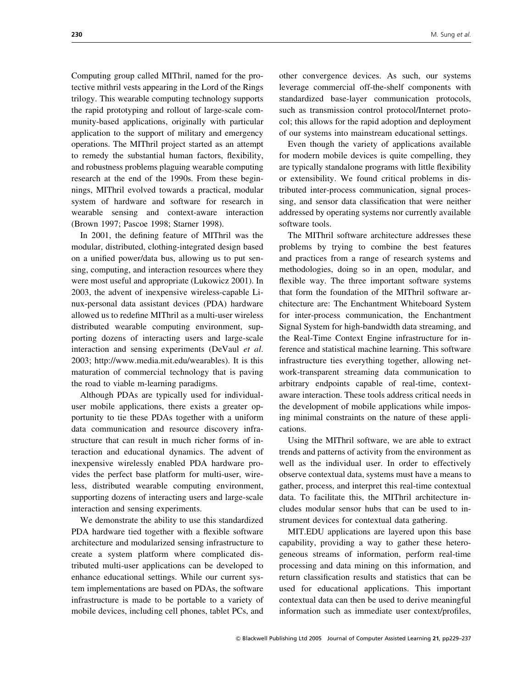Computing group called MIThril, named for the protective mithril vests appearing in the Lord of the Rings trilogy. This wearable computing technology supports the rapid prototyping and rollout of large-scale community-based applications, originally with particular application to the support of military and emergency operations. The MIThril project started as an attempt to remedy the substantial human factors, flexibility, and robustness problems plaguing wearable computing research at the end of the 1990s. From these beginnings, MIThril evolved towards a practical, modular system of hardware and software for research in wearable sensing and context-aware interaction (Brown 1997; Pascoe 1998; Starner 1998).

In 2001, the defining feature of MIThril was the modular, distributed, clothing-integrated design based on a unified power/data bus, allowing us to put sensing, computing, and interaction resources where they were most useful and appropriate (Lukowicz 2001). In 2003, the advent of inexpensive wireless-capable Linux-personal data assistant devices (PDA) hardware allowed us to redefine MIThril as a multi-user wireless distributed wearable computing environment, supporting dozens of interacting users and large-scale interaction and sensing experiments (DeVaul et al. 2003; http://www.media.mit.edu/wearables). It is this maturation of commercial technology that is paving the road to viable m-learning paradigms.

Although PDAs are typically used for individualuser mobile applications, there exists a greater opportunity to tie these PDAs together with a uniform data communication and resource discovery infrastructure that can result in much richer forms of interaction and educational dynamics. The advent of inexpensive wirelessly enabled PDA hardware provides the perfect base platform for multi-user, wireless, distributed wearable computing environment, supporting dozens of interacting users and large-scale interaction and sensing experiments.

We demonstrate the ability to use this standardized PDA hardware tied together with a flexible software architecture and modularized sensing infrastructure to create a system platform where complicated distributed multi-user applications can be developed to enhance educational settings. While our current system implementations are based on PDAs, the software infrastructure is made to be portable to a variety of mobile devices, including cell phones, tablet PCs, and

other convergence devices. As such, our systems leverage commercial off-the-shelf components with standardized base-layer communication protocols, such as transmission control protocol/Internet protocol; this allows for the rapid adoption and deployment of our systems into mainstream educational settings.

Even though the variety of applications available for modern mobile devices is quite compelling, they are typically standalone programs with little flexibility or extensibility. We found critical problems in distributed inter-process communication, signal processing, and sensor data classification that were neither addressed by operating systems nor currently available software tools.

The MIThril software architecture addresses these problems by trying to combine the best features and practices from a range of research systems and methodologies, doing so in an open, modular, and flexible way. The three important software systems that form the foundation of the MIThril software architecture are: The Enchantment Whiteboard System for inter-process communication, the Enchantment Signal System for high-bandwidth data streaming, and the Real-Time Context Engine infrastructure for inference and statistical machine learning. This software infrastructure ties everything together, allowing network-transparent streaming data communication to arbitrary endpoints capable of real-time, contextaware interaction. These tools address critical needs in the development of mobile applications while imposing minimal constraints on the nature of these applications.

Using the MIThril software, we are able to extract trends and patterns of activity from the environment as well as the individual user. In order to effectively observe contextual data, systems must have a means to gather, process, and interpret this real-time contextual data. To facilitate this, the MIThril architecture includes modular sensor hubs that can be used to instrument devices for contextual data gathering.

MIT.EDU applications are layered upon this base capability, providing a way to gather these heterogeneous streams of information, perform real-time processing and data mining on this information, and return classification results and statistics that can be used for educational applications. This important contextual data can then be used to derive meaningful information such as immediate user context/profiles,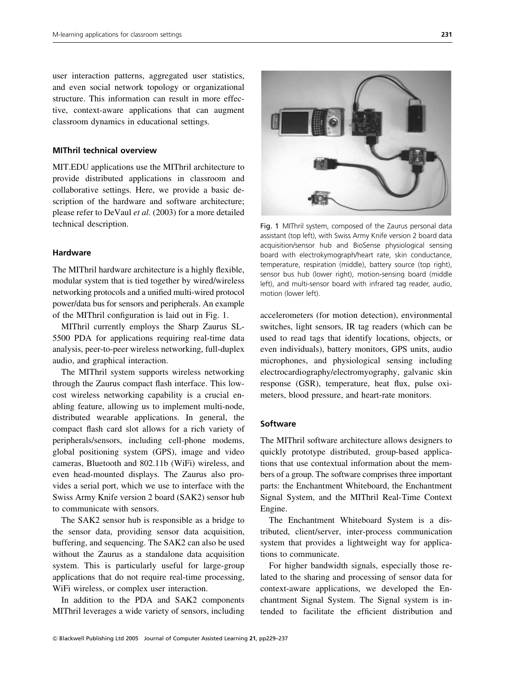user interaction patterns, aggregated user statistics, and even social network topology or organizational structure. This information can result in more effective, context-aware applications that can augment classroom dynamics in educational settings.

#### MIThril technical overview

MIT.EDU applications use the MIThril architecture to provide distributed applications in classroom and collaborative settings. Here, we provide a basic description of the hardware and software architecture; please refer to DeVaul et al. (2003) for a more detailed technical description.

## Hardware

The MIThril hardware architecture is a highly flexible, modular system that is tied together by wired/wireless networking protocols and a unified multi-wired protocol power/data bus for sensors and peripherals. An example of the MIThril configuration is laid out in Fig. 1.

MIThril currently employs the Sharp Zaurus SL-5500 PDA for applications requiring real-time data analysis, peer-to-peer wireless networking, full-duplex audio, and graphical interaction.

The MIThril system supports wireless networking through the Zaurus compact flash interface. This lowcost wireless networking capability is a crucial enabling feature, allowing us to implement multi-node, distributed wearable applications. In general, the compact flash card slot allows for a rich variety of peripherals/sensors, including cell-phone modems, global positioning system (GPS), image and video cameras, Bluetooth and 802.11b (WiFi) wireless, and even head-mounted displays. The Zaurus also provides a serial port, which we use to interface with the Swiss Army Knife version 2 board (SAK2) sensor hub to communicate with sensors.

The SAK2 sensor hub is responsible as a bridge to the sensor data, providing sensor data acquisition, buffering, and sequencing. The SAK2 can also be used without the Zaurus as a standalone data acquisition system. This is particularly useful for large-group applications that do not require real-time processing, WiFi wireless, or complex user interaction.

In addition to the PDA and SAK2 components MIThril leverages a wide variety of sensors, including



Fig. 1 MIThril system, composed of the Zaurus personal data assistant (top left), with Swiss Army Knife version 2 board data acquisition/sensor hub and BioSense physiological sensing board with electrokymograph/heart rate, skin conductance, temperature, respiration (middle), battery source (top right), sensor bus hub (lower right), motion-sensing board (middle left), and multi-sensor board with infrared tag reader, audio, motion (lower left).

accelerometers (for motion detection), environmental switches, light sensors, IR tag readers (which can be used to read tags that identify locations, objects, or even individuals), battery monitors, GPS units, audio microphones, and physiological sensing including electrocardiography/electromyography, galvanic skin response (GSR), temperature, heat flux, pulse oximeters, blood pressure, and heart-rate monitors.

#### **Software**

The MIThril software architecture allows designers to quickly prototype distributed, group-based applications that use contextual information about the members of a group. The software comprises three important parts: the Enchantment Whiteboard, the Enchantment Signal System, and the MIThril Real-Time Context Engine.

The Enchantment Whiteboard System is a distributed, client/server, inter-process communication system that provides a lightweight way for applications to communicate.

For higher bandwidth signals, especially those related to the sharing and processing of sensor data for context-aware applications, we developed the Enchantment Signal System. The Signal system is intended to facilitate the efficient distribution and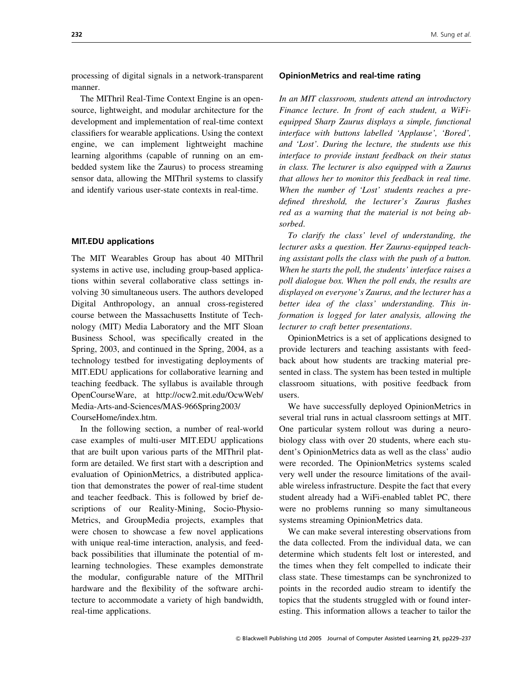processing of digital signals in a network-transparent manner.

The MIThril Real-Time Context Engine is an opensource, lightweight, and modular architecture for the development and implementation of real-time context classifiers for wearable applications. Using the context engine, we can implement lightweight machine learning algorithms (capable of running on an embedded system like the Zaurus) to process streaming sensor data, allowing the MIThril systems to classify and identify various user-state contexts in real-time.

# MIT.EDU applications

The MIT Wearables Group has about 40 MIThril systems in active use, including group-based applications within several collaborative class settings involving 30 simultaneous users. The authors developed Digital Anthropology, an annual cross-registered course between the Massachusetts Institute of Technology (MIT) Media Laboratory and the MIT Sloan Business School, was specifically created in the Spring, 2003, and continued in the Spring, 2004, as a technology testbed for investigating deployments of MIT.EDU applications for collaborative learning and teaching feedback. The syllabus is available through OpenCourseWare, at http://ocw2.mit.edu/OcwWeb/ Media-Arts-and-Sciences/MAS-966Spring2003/ CourseHome/index.htm.

In the following section, a number of real-world case examples of multi-user MIT.EDU applications that are built upon various parts of the MIThril platform are detailed. We first start with a description and evaluation of OpinionMetrics, a distributed application that demonstrates the power of real-time student and teacher feedback. This is followed by brief descriptions of our Reality-Mining, Socio-Physio-Metrics, and GroupMedia projects, examples that were chosen to showcase a few novel applications with unique real-time interaction, analysis, and feedback possibilities that illuminate the potential of mlearning technologies. These examples demonstrate the modular, configurable nature of the MIThril hardware and the flexibility of the software architecture to accommodate a variety of high bandwidth, real-time applications.

#### OpinionMetrics and real-time rating

In an MIT classroom, students attend an introductory Finance lecture. In front of each student, a WiFiequipped Sharp Zaurus displays a simple, functional interface with buttons labelled 'Applause', 'Bored', and 'Lost'. During the lecture, the students use this interface to provide instant feedback on their status in class. The lecturer is also equipped with a Zaurus that allows her to monitor this feedback in real time. When the number of 'Lost' students reaches a predefined threshold, the lecturer's Zaurus flashes red as a warning that the material is not being absorbed.

To clarify the class' level of understanding, the lecturer asks a question. Her Zaurus-equipped teaching assistant polls the class with the push of a button. When he starts the poll, the students' interface raises a poll dialogue box. When the poll ends, the results are displayed on everyone's Zaurus, and the lecturer has a better idea of the class' understanding. This information is logged for later analysis, allowing the lecturer to craft better presentations.

OpinionMetrics is a set of applications designed to provide lecturers and teaching assistants with feedback about how students are tracking material presented in class. The system has been tested in multiple classroom situations, with positive feedback from users.

We have successfully deployed OpinionMetrics in several trial runs in actual classroom settings at MIT. One particular system rollout was during a neurobiology class with over 20 students, where each student's OpinionMetrics data as well as the class' audio were recorded. The OpinionMetrics systems scaled very well under the resource limitations of the available wireless infrastructure. Despite the fact that every student already had a WiFi-enabled tablet PC, there were no problems running so many simultaneous systems streaming OpinionMetrics data.

We can make several interesting observations from the data collected. From the individual data, we can determine which students felt lost or interested, and the times when they felt compelled to indicate their class state. These timestamps can be synchronized to points in the recorded audio stream to identify the topics that the students struggled with or found interesting. This information allows a teacher to tailor the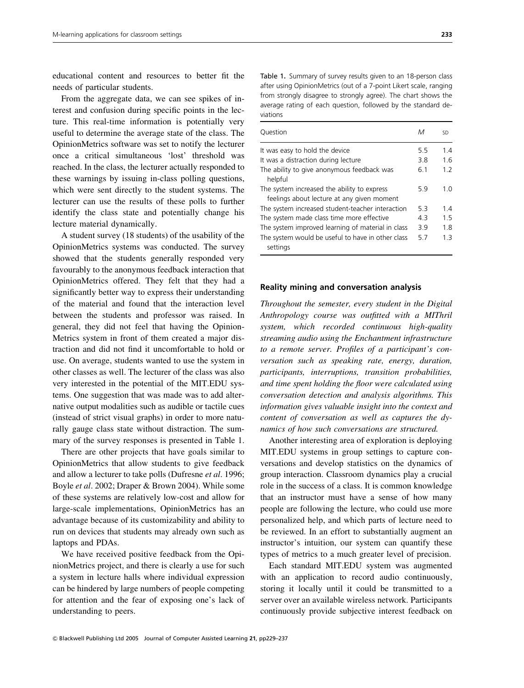educational content and resources to better fit the needs of particular students.

From the aggregate data, we can see spikes of interest and confusion during specific points in the lecture. This real-time information is potentially very useful to determine the average state of the class. The OpinionMetrics software was set to notify the lecturer once a critical simultaneous 'lost' threshold was reached. In the class, the lecturer actually responded to these warnings by issuing in-class polling questions, which were sent directly to the student systems. The lecturer can use the results of these polls to further identify the class state and potentially change his lecture material dynamically.

A student survey (18 students) of the usability of the OpinionMetrics systems was conducted. The survey showed that the students generally responded very favourably to the anonymous feedback interaction that OpinionMetrics offered. They felt that they had a significantly better way to express their understanding of the material and found that the interaction level between the students and professor was raised. In general, they did not feel that having the Opinion-Metrics system in front of them created a major distraction and did not find it uncomfortable to hold or use. On average, students wanted to use the system in other classes as well. The lecturer of the class was also very interested in the potential of the MIT.EDU systems. One suggestion that was made was to add alternative output modalities such as audible or tactile cues (instead of strict visual graphs) in order to more naturally gauge class state without distraction. The summary of the survey responses is presented in Table 1.

There are other projects that have goals similar to OpinionMetrics that allow students to give feedback and allow a lecturer to take polls (Dufresne et al. 1996; Boyle et al. 2002; Draper & Brown 2004). While some of these systems are relatively low-cost and allow for large-scale implementations, OpinionMetrics has an advantage because of its customizability and ability to run on devices that students may already own such as laptops and PDAs.

We have received positive feedback from the OpinionMetrics project, and there is clearly a use for such a system in lecture halls where individual expression can be hindered by large numbers of people competing for attention and the fear of exposing one's lack of understanding to peers.

Table 1. Summary of survey results given to an 18-person class after using OpinionMetrics (out of a 7-point Likert scale, ranging from strongly disagree to strongly agree). The chart shows the average rating of each question, followed by the standard deviations

| Question                                                                                  | M   | SD  |
|-------------------------------------------------------------------------------------------|-----|-----|
| It was easy to hold the device                                                            | 5.5 | 14  |
| It was a distraction during lecture                                                       | 38  | 16  |
| The ability to give anonymous feedback was<br>helpful                                     | 61  | 12  |
| The system increased the ability to express<br>feelings about lecture at any given moment | 59  | 1 0 |
| The system increased student-teacher interaction                                          | 53  | 14  |
| The system made class time more effective                                                 | 43  | 15  |
| The system improved learning of material in class                                         | 39  | 18  |
| The system would be useful to have in other class<br>settings                             | 57  | 13  |

#### Reality mining and conversation analysis

Throughout the semester, every student in the Digital Anthropology course was outfitted with a MIThril system, which recorded continuous high-quality streaming audio using the Enchantment infrastructure to a remote server. Profiles of a participant's conversation such as speaking rate, energy, duration, participants, interruptions, transition probabilities, and time spent holding the floor were calculated using conversation detection and analysis algorithms. This information gives valuable insight into the context and content of conversation as well as captures the dynamics of how such conversations are structured.

Another interesting area of exploration is deploying MIT.EDU systems in group settings to capture conversations and develop statistics on the dynamics of group interaction. Classroom dynamics play a crucial role in the success of a class. It is common knowledge that an instructor must have a sense of how many people are following the lecture, who could use more personalized help, and which parts of lecture need to be reviewed. In an effort to substantially augment an instructor's intuition, our system can quantify these types of metrics to a much greater level of precision.

Each standard MIT.EDU system was augmented with an application to record audio continuously, storing it locally until it could be transmitted to a server over an available wireless network. Participants continuously provide subjective interest feedback on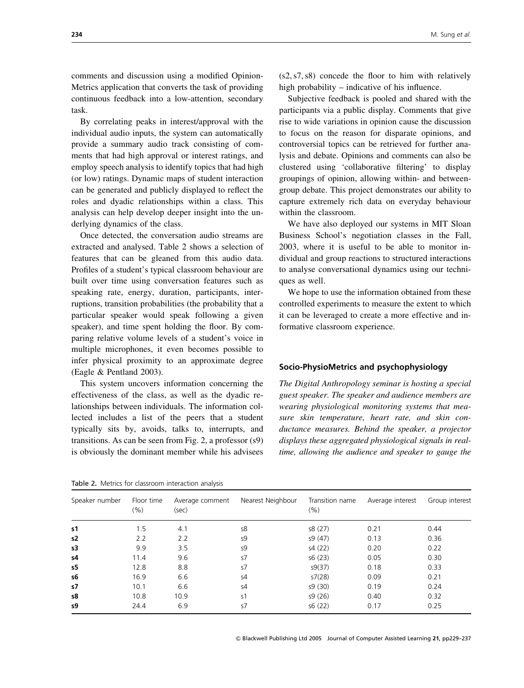comments and discussion using a modified Opinion-Metrics application that converts the task of providing continuous feedback into a low-attention, secondary task.

By correlating peaks in interest/approval with the individual audio inputs, the system can automatically provide a summary audio track consisting of comments that had high approval or interest ratings, and employ speech analysis to identify topics that had high (or low) ratings. Dynamic maps of student interaction can be generated and publicly displayed to reflect the roles and dyadic relationships within a class. This analysis can help develop deeper insight into the underlying dynamics of the class.

Once detected, the conversation audio streams are extracted and analysed. Table 2 shows a selection of features that can be gleaned from this audio data. Profiles of a student's typical classroom behaviour are built over time using conversation features such as speaking rate, energy, duration, participants, interruptions, transition probabilities (the probability that a particular speaker would speak following a given speaker), and time spent holding the floor. By comparing relative volume levels of a student's voice in multiple microphones, it even becomes possible to infer physical proximity to an approximate degree (Eagle & Pentland 2003).

This system uncovers information concerning the effectiveness of the class, as well as the dyadic relationships between individuals. The information collected includes a list of the peers that a student typically sits by, avoids, talks to, interrupts, and transitions. As can be seen from Fig. 2, a professor (s9) is obviously the dominant member while his advisees

Table 2. Metrics for classroom interaction analysis

(s2, s7, s8) concede the floor to him with relatively high probability – indicative of his influence.

Subjective feedback is pooled and shared with the participants via a public display. Comments that give rise to wide variations in opinion cause the discussion to focus on the reason for disparate opinions, and controversial topics can be retrieved for further analysis and debate. Opinions and comments can also be clustered using 'collaborative filtering' to display groupings of opinion, allowing within- and betweengroup debate. This project demonstrates our ability to capture extremely rich data on everyday behaviour within the classroom.

We have also deployed our systems in MIT Sloan Business School's negotiation classes in the Fall, 2003, where it is useful to be able to monitor individual and group reactions to structured interactions to analyse conversational dynamics using our techniques as well.

We hope to use the information obtained from these controlled experiments to measure the extent to which it can be leveraged to create a more effective and informative classroom experience.

# Socio-PhysioMetrics and psychophysiology

The Digital Anthropology seminar is hosting a special guest speaker. The speaker and audience members are wearing physiological monitoring systems that measure skin temperature, heart rate, and skin conductance measures. Behind the speaker, a projector displays these aggregated physiological signals in realtime, allowing the audience and speaker to gauge the

| Speaker number | Floor time<br>(%) | Average comment<br>(sec) | Nearest Neighbour | Transition name<br>(%) | Average interest | Group interest |
|----------------|-------------------|--------------------------|-------------------|------------------------|------------------|----------------|
| s1             | 1.5               | 4.1                      | s8                | s8 (27)                | 0.21             | 0.44           |
| s2             | 2.2               | 2.2                      | s9                | s9 (47)                | 0.13             | 0.36           |
| s3             | 9.9               | 3.5                      | s9                | s4 (22)                | 0.20             | 0.22           |
| s4             | 11.4              | 9.6                      | s7                | 56(23)                 | 0.05             | 0.30           |
| 55             | 12.8              | 8.8                      | s7                | s9(37)                 | 0.18             | 0.33           |
| s6             | 16.9              | 6.6                      | s4                | s7(28)                 | 0.09             | 0.21           |
| s7             | 10.1              | 6.6                      | s4                | s9 (30)                | 0.19             | 0.24           |
| s8             | 10.8              | 10.9                     | s <sub>1</sub>    | s9 (26)                | 0.40             | 0.32           |
| s9             | 24.4              | 6.9                      | s7                | 56(22)                 | 0.17             | 0.25           |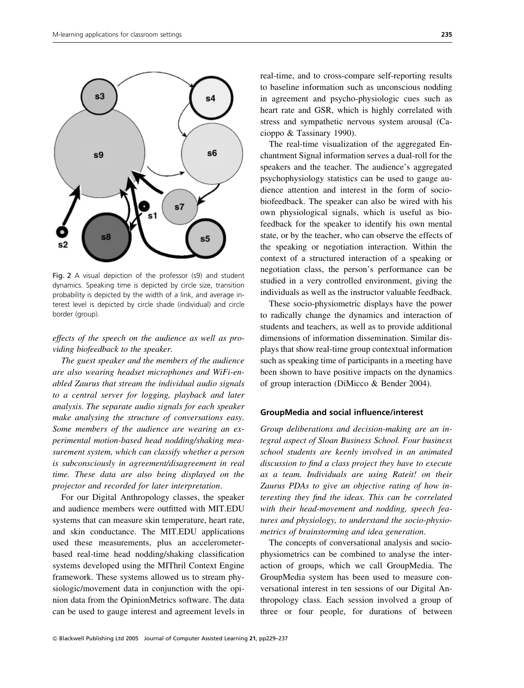

Fig. 2 A visual depiction of the professor (s9) and student dynamics. Speaking time is depicted by circle size, transition probability is depicted by the width of a link, and average interest level is depicted by circle shade (individual) and circle border (group).

# effects of the speech on the audience as well as providing biofeedback to the speaker.

The guest speaker and the members of the audience are also wearing headset microphones and WiFi-enabled Zaurus that stream the individual audio signals to a central server for logging, playback and later analysis. The separate audio signals for each speaker make analysing the structure of conversations easy. Some members of the audience are wearing an experimental motion-based head nodding/shaking measurement system, which can classify whether a person is subconsciously in agreement/disagreement in real time. These data are also being displayed on the projector and recorded for later interpretation.

For our Digital Anthropology classes, the speaker and audience members were outfitted with MIT.EDU systems that can measure skin temperature, heart rate, and skin conductance. The MIT.EDU applications used these measurements, plus an accelerometerbased real-time head nodding/shaking classification systems developed using the MIThril Context Engine framework. These systems allowed us to stream physiologic/movement data in conjunction with the opinion data from the OpinionMetrics software. The data can be used to gauge interest and agreement levels in

real-time, and to cross-compare self-reporting results to baseline information such as unconscious nodding in agreement and psycho-physiologic cues such as heart rate and GSR, which is highly correlated with stress and sympathetic nervous system arousal (Cacioppo & Tassinary 1990).

The real-time visualization of the aggregated Enchantment Signal information serves a dual-roll for the speakers and the teacher. The audience's aggregated psychophysiology statistics can be used to gauge audience attention and interest in the form of sociobiofeedback. The speaker can also be wired with his own physiological signals, which is useful as biofeedback for the speaker to identify his own mental state, or by the teacher, who can observe the effects of the speaking or negotiation interaction. Within the context of a structured interaction of a speaking or negotiation class, the person's performance can be studied in a very controlled environment, giving the individuals as well as the instructor valuable feedback.

These socio-physiometric displays have the power to radically change the dynamics and interaction of students and teachers, as well as to provide additional dimensions of information dissemination. Similar displays that show real-time group contextual information such as speaking time of participants in a meeting have been shown to have positive impacts on the dynamics of group interaction (DiMicco & Bender 2004).

## GroupMedia and social influence/interest

Group deliberations and decision-making are an integral aspect of Sloan Business School. Four business school students are keenly involved in an animated discussion to find a class project they have to execute as a team. Individuals are using Rateit! on their Zaurus PDAs to give an objective rating of how interesting they find the ideas. This can be correlated with their head-movement and nodding, speech features and physiology, to understand the socio-physiometrics of brainstorming and idea generation.

The concepts of conversational analysis and sociophysiometrics can be combined to analyse the interaction of groups, which we call GroupMedia. The GroupMedia system has been used to measure conversational interest in ten sessions of our Digital Anthropology class. Each session involved a group of three or four people, for durations of between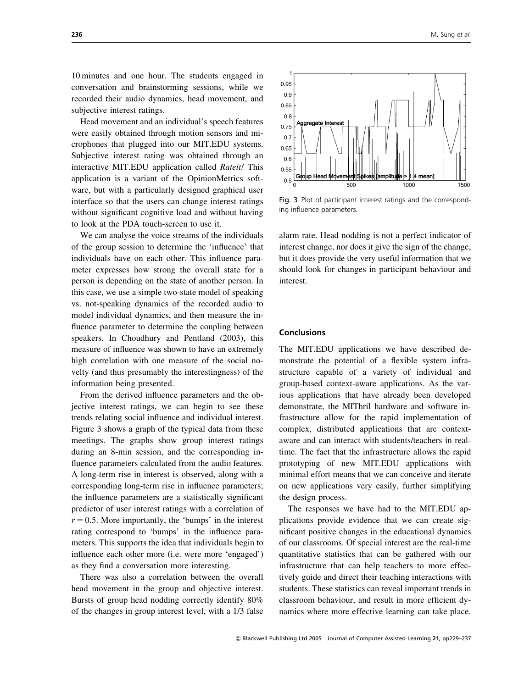10 minutes and one hour. The students engaged in conversation and brainstorming sessions, while we recorded their audio dynamics, head movement, and subjective interest ratings.

Head movement and an individual's speech features were easily obtained through motion sensors and microphones that plugged into our MIT.EDU systems. Subjective interest rating was obtained through an interactive MIT.EDU application called Rateit! This application is a variant of the OpinionMetrics software, but with a particularly designed graphical user interface so that the users can change interest ratings without significant cognitive load and without having to look at the PDA touch-screen to use it.

We can analyse the voice streams of the individuals of the group session to determine the 'influence' that individuals have on each other. This influence parameter expresses how strong the overall state for a person is depending on the state of another person. In this case, we use a simple two-state model of speaking vs. not-speaking dynamics of the recorded audio to model individual dynamics, and then measure the influence parameter to determine the coupling between speakers. In Choudhury and Pentland (2003), this measure of influence was shown to have an extremely high correlation with one measure of the social novelty (and thus presumably the interestingness) of the information being presented.

From the derived influence parameters and the objective interest ratings, we can begin to see these trends relating social influence and individual interest. Figure 3 shows a graph of the typical data from these meetings. The graphs show group interest ratings during an 8-min session, and the corresponding influence parameters calculated from the audio features. A long-term rise in interest is observed, along with a corresponding long-term rise in influence parameters; the influence parameters are a statistically significant predictor of user interest ratings with a correlation of  $r = 0.5$ . More importantly, the 'bumps' in the interest rating correspond to 'bumps' in the influence parameters. This supports the idea that individuals begin to influence each other more (i.e. were more 'engaged') as they find a conversation more interesting.

There was also a correlation between the overall head movement in the group and objective interest. Bursts of group head nodding correctly identify 80% of the changes in group interest level, with a 1/3 false



Fig. 3 Plot of participant interest ratings and the corresponding influence parameters.

alarm rate. Head nodding is not a perfect indicator of interest change, nor does it give the sign of the change, but it does provide the very useful information that we should look for changes in participant behaviour and interest.

### Conclusions

The MIT.EDU applications we have described demonstrate the potential of a flexible system infrastructure capable of a variety of individual and group-based context-aware applications. As the various applications that have already been developed demonstrate, the MIThril hardware and software infrastructure allow for the rapid implementation of complex, distributed applications that are contextaware and can interact with students/teachers in realtime. The fact that the infrastructure allows the rapid prototyping of new MIT.EDU applications with minimal effort means that we can conceive and iterate on new applications very easily, further simplifying the design process.

The responses we have had to the MIT.EDU applications provide evidence that we can create significant positive changes in the educational dynamics of our classrooms. Of special interest are the real-time quantitative statistics that can be gathered with our infrastructure that can help teachers to more effectively guide and direct their teaching interactions with students. These statistics can reveal important trends in classroom behaviour, and result in more efficient dynamics where more effective learning can take place.